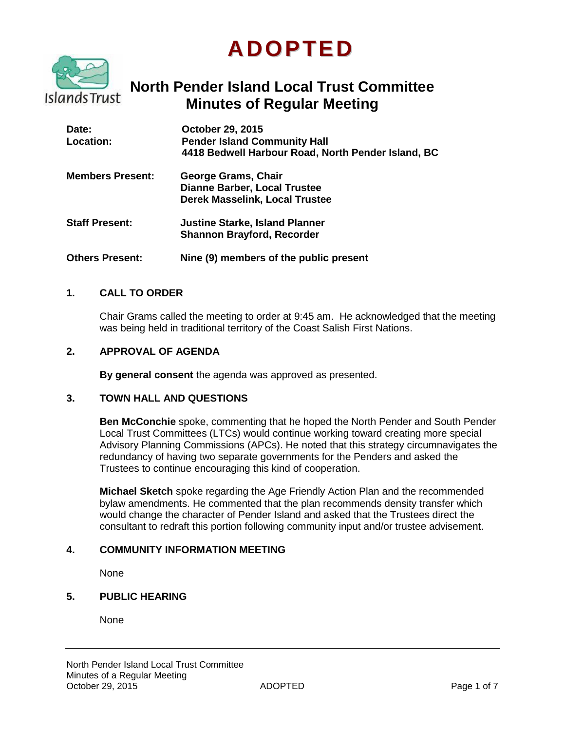# **ADOPTED**



# **North Pender Island Local Trust Committee Minutes of Regular Meeting**

| Date:<br><b>Location:</b> | <b>October 29, 2015</b><br><b>Pender Island Community Hall</b><br>4418 Bedwell Harbour Road, North Pender Island, BC |
|---------------------------|----------------------------------------------------------------------------------------------------------------------|
| <b>Members Present:</b>   | <b>George Grams, Chair</b><br><b>Dianne Barber, Local Trustee</b><br><b>Derek Masselink, Local Trustee</b>           |
| <b>Staff Present:</b>     | <b>Justine Starke, Island Planner</b><br><b>Shannon Brayford, Recorder</b>                                           |
| <b>Others Present:</b>    | Nine (9) members of the public present                                                                               |

#### **1. CALL TO ORDER**

Chair Grams called the meeting to order at 9:45 am. He acknowledged that the meeting was being held in traditional territory of the Coast Salish First Nations.

#### **2. APPROVAL OF AGENDA**

**By general consent** the agenda was approved as presented.

#### **3. TOWN HALL AND QUESTIONS**

**Ben McConchie** spoke, commenting that he hoped the North Pender and South Pender Local Trust Committees (LTCs) would continue working toward creating more special Advisory Planning Commissions (APCs). He noted that this strategy circumnavigates the redundancy of having two separate governments for the Penders and asked the Trustees to continue encouraging this kind of cooperation.

**Michael Sketch** spoke regarding the Age Friendly Action Plan and the recommended bylaw amendments. He commented that the plan recommends density transfer which would change the character of Pender Island and asked that the Trustees direct the consultant to redraft this portion following community input and/or trustee advisement.

#### **4. COMMUNITY INFORMATION MEETING**

**None** 

# **5. PUBLIC HEARING**

None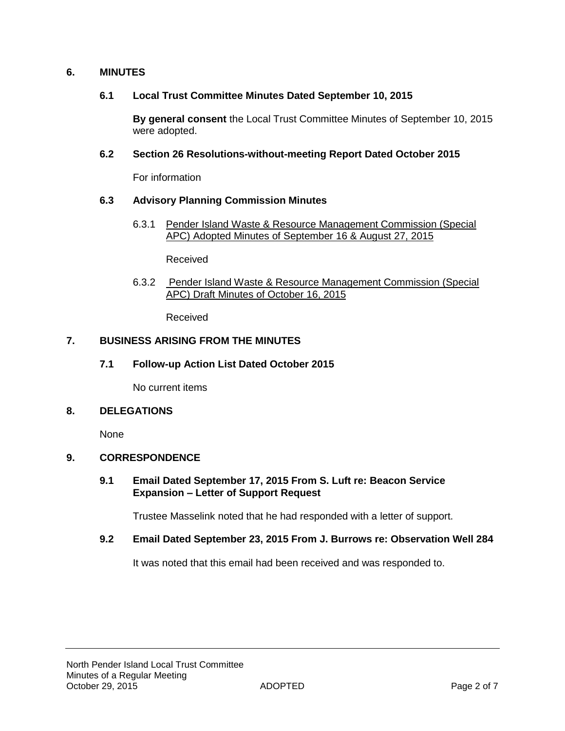#### **6. MINUTES**

#### **6.1 Local Trust Committee Minutes Dated September 10, 2015**

**By general consent** the Local Trust Committee Minutes of September 10, 2015 were adopted.

#### **6.2 Section 26 Resolutions-without-meeting Report Dated October 2015**

For information

#### **6.3 Advisory Planning Commission Minutes**

6.3.1 Pender Island Waste & Resource Management Commission (Special APC) Adopted Minutes of September 16 & August 27, 2015

Received

6.3.2 Pender Island Waste & Resource Management Commission (Special APC) Draft Minutes of October 16, 2015

Received

#### **7. BUSINESS ARISING FROM THE MINUTES**

**7.1 Follow-up Action List Dated October 2015**

No current items

#### **8. DELEGATIONS**

None

#### **9. CORRESPONDENCE**

#### **9.1 Email Dated September 17, 2015 From S. Luft re: Beacon Service Expansion – Letter of Support Request**

Trustee Masselink noted that he had responded with a letter of support.

#### **9.2 Email Dated September 23, 2015 From J. Burrows re: Observation Well 284**

It was noted that this email had been received and was responded to.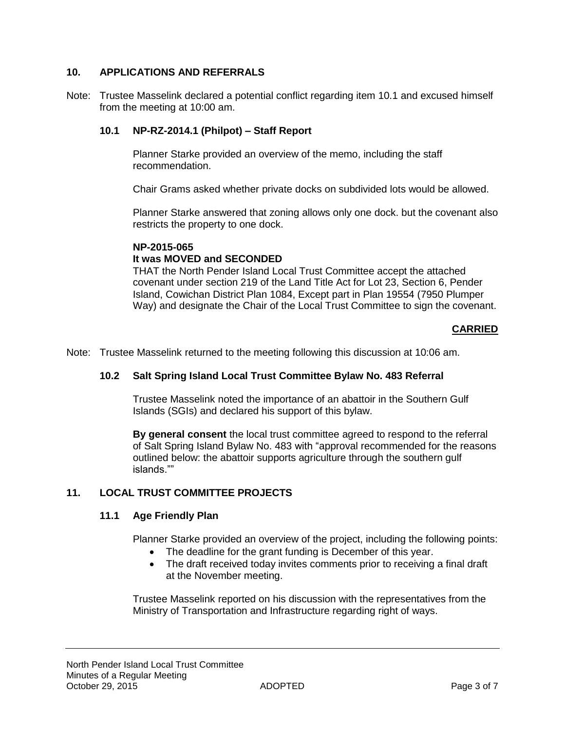# **10. APPLICATIONS AND REFERRALS**

Note: Trustee Masselink declared a potential conflict regarding item 10.1 and excused himself from the meeting at 10:00 am.

# **10.1 NP-RZ-2014.1 (Philpot) – Staff Report**

Planner Starke provided an overview of the memo, including the staff recommendation.

Chair Grams asked whether private docks on subdivided lots would be allowed.

Planner Starke answered that zoning allows only one dock. but the covenant also restricts the property to one dock.

#### **NP-2015-065**

# **It was MOVED and SECONDED**

THAT the North Pender Island Local Trust Committee accept the attached covenant under section 219 of the Land Title Act for Lot 23, Section 6, Pender Island, Cowichan District Plan 1084, Except part in Plan 19554 (7950 Plumper Way) and designate the Chair of the Local Trust Committee to sign the covenant.

#### **CARRIED**

Note: Trustee Masselink returned to the meeting following this discussion at 10:06 am.

#### **10.2 Salt Spring Island Local Trust Committee Bylaw No. 483 Referral**

Trustee Masselink noted the importance of an abattoir in the Southern Gulf Islands (SGIs) and declared his support of this bylaw.

**By general consent** the local trust committee agreed to respond to the referral of Salt Spring Island Bylaw No. 483 with "approval recommended for the reasons outlined below: the abattoir supports agriculture through the southern gulf islands.""

# **11. LOCAL TRUST COMMITTEE PROJECTS**

#### **11.1 Age Friendly Plan**

Planner Starke provided an overview of the project, including the following points:

- The deadline for the grant funding is December of this year.
- The draft received today invites comments prior to receiving a final draft at the November meeting.

Trustee Masselink reported on his discussion with the representatives from the Ministry of Transportation and Infrastructure regarding right of ways.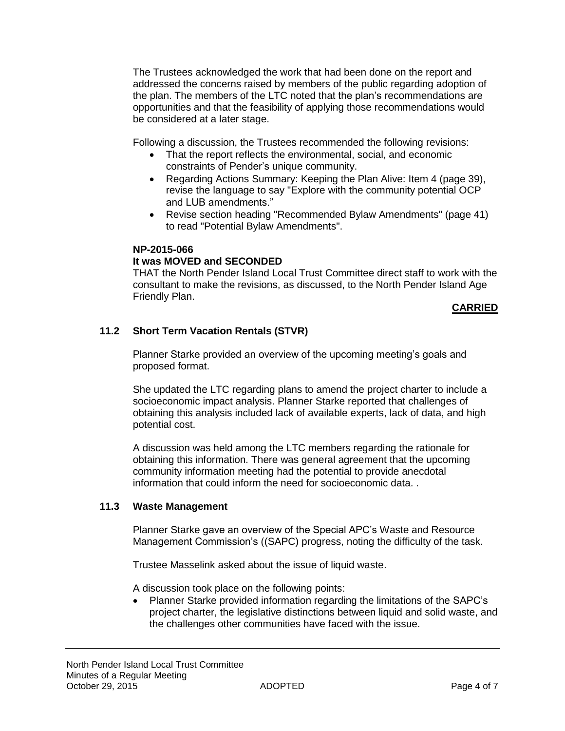The Trustees acknowledged the work that had been done on the report and addressed the concerns raised by members of the public regarding adoption of the plan. The members of the LTC noted that the plan's recommendations are opportunities and that the feasibility of applying those recommendations would be considered at a later stage.

Following a discussion, the Trustees recommended the following revisions:

- That the report reflects the environmental, social, and economic constraints of Pender's unique community.
- Regarding Actions Summary: Keeping the Plan Alive: Item 4 (page 39), revise the language to say "Explore with the community potential OCP and LUB amendments."
- Revise section heading "Recommended Bylaw Amendments" (page 41) to read "Potential Bylaw Amendments".

#### **NP-2015-066**

# **It was MOVED and SECONDED**

THAT the North Pender Island Local Trust Committee direct staff to work with the consultant to make the revisions, as discussed, to the North Pender Island Age Friendly Plan.

# **CARRIED**

# **11.2 Short Term Vacation Rentals (STVR)**

Planner Starke provided an overview of the upcoming meeting's goals and proposed format.

She updated the LTC regarding plans to amend the project charter to include a socioeconomic impact analysis. Planner Starke reported that challenges of obtaining this analysis included lack of available experts, lack of data, and high potential cost.

A discussion was held among the LTC members regarding the rationale for obtaining this information. There was general agreement that the upcoming community information meeting had the potential to provide anecdotal information that could inform the need for socioeconomic data. .

#### **11.3 Waste Management**

Planner Starke gave an overview of the Special APC's Waste and Resource Management Commission's ((SAPC) progress, noting the difficulty of the task.

Trustee Masselink asked about the issue of liquid waste.

A discussion took place on the following points:

 Planner Starke provided information regarding the limitations of the SAPC's project charter, the legislative distinctions between liquid and solid waste, and the challenges other communities have faced with the issue.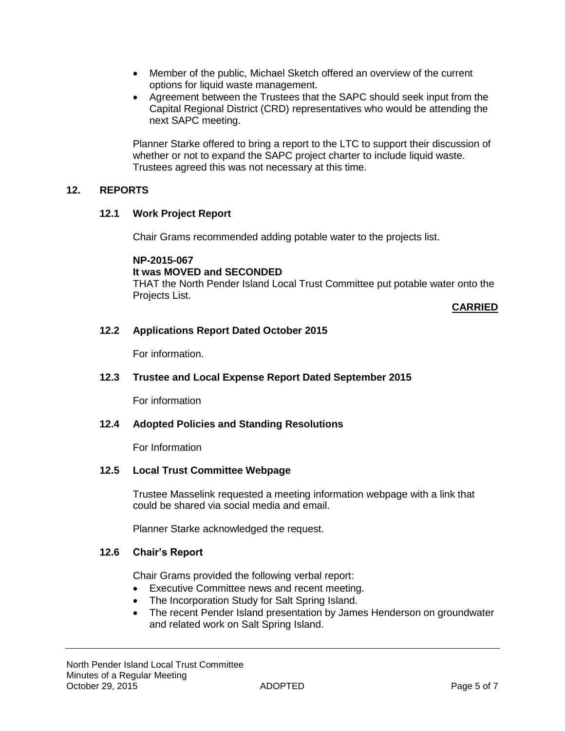- Member of the public, Michael Sketch offered an overview of the current options for liquid waste management.
- Agreement between the Trustees that the SAPC should seek input from the Capital Regional District (CRD) representatives who would be attending the next SAPC meeting.

Planner Starke offered to bring a report to the LTC to support their discussion of whether or not to expand the SAPC project charter to include liquid waste. Trustees agreed this was not necessary at this time.

#### **12. REPORTS**

#### **12.1 Work Project Report**

Chair Grams recommended adding potable water to the projects list.

**NP-2015-067**

#### **It was MOVED and SECONDED**

THAT the North Pender Island Local Trust Committee put potable water onto the Projects List.

# **CARRIED**

# **12.2 Applications Report Dated October 2015**

For information.

#### **12.3 Trustee and Local Expense Report Dated September 2015**

For information

#### **12.4 Adopted Policies and Standing Resolutions**

For Information

#### **12.5 Local Trust Committee Webpage**

Trustee Masselink requested a meeting information webpage with a link that could be shared via social media and email.

Planner Starke acknowledged the request.

#### **12.6 Chair's Report**

Chair Grams provided the following verbal report:

- Executive Committee news and recent meeting.
- The Incorporation Study for Salt Spring Island.
- The recent Pender Island presentation by James Henderson on groundwater and related work on Salt Spring Island.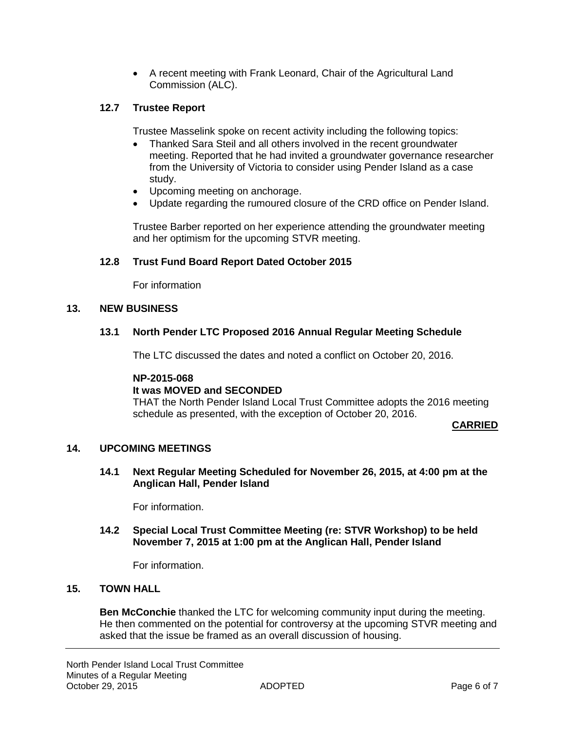A recent meeting with Frank Leonard, Chair of the Agricultural Land Commission (ALC).

# **12.7 Trustee Report**

Trustee Masselink spoke on recent activity including the following topics:

- Thanked Sara Steil and all others involved in the recent groundwater meeting. Reported that he had invited a groundwater governance researcher from the University of Victoria to consider using Pender Island as a case study.
- Upcoming meeting on anchorage.
- Update regarding the rumoured closure of the CRD office on Pender Island.

Trustee Barber reported on her experience attending the groundwater meeting and her optimism for the upcoming STVR meeting.

#### **12.8 Trust Fund Board Report Dated October 2015**

For information

#### **13. NEW BUSINESS**

#### **13.1 North Pender LTC Proposed 2016 Annual Regular Meeting Schedule**

The LTC discussed the dates and noted a conflict on October 20, 2016.

#### **NP-2015-068**

#### **It was MOVED and SECONDED**

THAT the North Pender Island Local Trust Committee adopts the 2016 meeting schedule as presented, with the exception of October 20, 2016.

#### **CARRIED**

#### **14. UPCOMING MEETINGS**

**14.1 Next Regular Meeting Scheduled for November 26, 2015, at 4:00 pm at the Anglican Hall, Pender Island**

For information.

#### **14.2 Special Local Trust Committee Meeting (re: STVR Workshop) to be held November 7, 2015 at 1:00 pm at the Anglican Hall, Pender Island**

For information.

#### **15. TOWN HALL**

**Ben McConchie** thanked the LTC for welcoming community input during the meeting. He then commented on the potential for controversy at the upcoming STVR meeting and asked that the issue be framed as an overall discussion of housing.